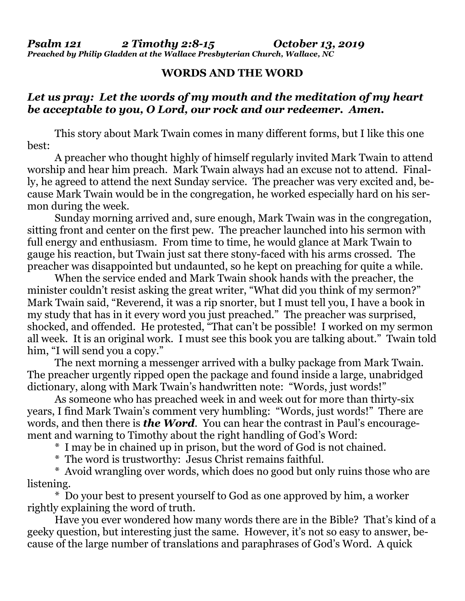*Psalm 121 2 Timothy 2:8-15 October 13, 2019 Preached by Philip Gladden at the Wallace Presbyterian Church, Wallace, NC*

## **WORDS AND THE WORD**

## *Let us pray: Let the words of my mouth and the meditation of my heart be acceptable to you, O Lord, our rock and our redeemer. Amen.*

This story about Mark Twain comes in many different forms, but I like this one best:

A preacher who thought highly of himself regularly invited Mark Twain to attend worship and hear him preach. Mark Twain always had an excuse not to attend. Finally, he agreed to attend the next Sunday service. The preacher was very excited and, because Mark Twain would be in the congregation, he worked especially hard on his sermon during the week.

Sunday morning arrived and, sure enough, Mark Twain was in the congregation, sitting front and center on the first pew. The preacher launched into his sermon with full energy and enthusiasm. From time to time, he would glance at Mark Twain to gauge his reaction, but Twain just sat there stony-faced with his arms crossed. The preacher was disappointed but undaunted, so he kept on preaching for quite a while.

When the service ended and Mark Twain shook hands with the preacher, the minister couldn't resist asking the great writer, "What did you think of my sermon?" Mark Twain said, "Reverend, it was a rip snorter, but I must tell you, I have a book in my study that has in it every word you just preached." The preacher was surprised, shocked, and offended. He protested, "That can't be possible! I worked on my sermon all week. It is an original work. I must see this book you are talking about." Twain told him, "I will send you a copy."

The next morning a messenger arrived with a bulky package from Mark Twain. The preacher urgently ripped open the package and found inside a large, unabridged dictionary, along with Mark Twain's handwritten note: "Words, just words!"

As someone who has preached week in and week out for more than thirty-six years, I find Mark Twain's comment very humbling: "Words, just words!" There are words, and then there is *the Word*. You can hear the contrast in Paul's encouragement and warning to Timothy about the right handling of God's Word:

\* I may be in chained up in prison, but the word of God is not chained.

\* The word is trustworthy: Jesus Christ remains faithful.

\* Avoid wrangling over words, which does no good but only ruins those who are listening.

\* Do your best to present yourself to God as one approved by him, a worker rightly explaining the word of truth.

Have you ever wondered how many words there are in the Bible? That's kind of a geeky question, but interesting just the same. However, it's not so easy to answer, because of the large number of translations and paraphrases of God's Word. A quick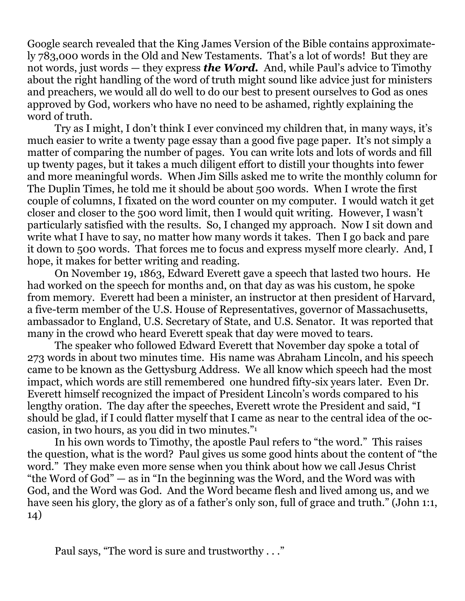Google search revealed that the King James Version of the Bible contains approximately 783,000 words in the Old and New Testaments. That's a lot of words! But they are not words, just words — they express *the Word.* And, while Paul's advice to Timothy about the right handling of the word of truth might sound like advice just for ministers and preachers, we would all do well to do our best to present ourselves to God as ones approved by God, workers who have no need to be ashamed, rightly explaining the word of truth.

Try as I might, I don't think I ever convinced my children that, in many ways, it's much easier to write a twenty page essay than a good five page paper. It's not simply a matter of comparing the number of pages. You can write lots and lots of words and fill up twenty pages, but it takes a much diligent effort to distill your thoughts into fewer and more meaningful words. When Jim Sills asked me to write the monthly column for The Duplin Times, he told me it should be about 500 words. When I wrote the first couple of columns, I fixated on the word counter on my computer. I would watch it get closer and closer to the 500 word limit, then I would quit writing. However, I wasn't particularly satisfied with the results. So, I changed my approach. Now I sit down and write what I have to say, no matter how many words it takes. Then I go back and pare it down to 500 words. That forces me to focus and express myself more clearly. And, I hope, it makes for better writing and reading.

On November 19, 1863, Edward Everett gave a speech that lasted two hours. He had worked on the speech for months and, on that day as was his custom, he spoke from memory. Everett had been a minister, an instructor at then president of Harvard, a five-term member of the U.S. House of Representatives, governor of Massachusetts, ambassador to England, U.S. Secretary of State, and U.S. Senator. It was reported that many in the crowd who heard Everett speak that day were moved to tears.

The speaker who followed Edward Everett that November day spoke a total of 273 words in about two minutes time. His name was Abraham Lincoln, and his speech came to be known as the Gettysburg Address. We all know which speech had the most impact, which words are still remembered one hundred fifty-six years later. Even Dr. Everett himself recognized the impact of President Lincoln's words compared to his lengthy oration. The day after the speeches, Everett wrote the President and said, "I should be glad, if I could flatter myself that I came as near to the central idea of the occasion, in two hours, as you did in two minutes."<sup>1</sup>

In his own words to Timothy, the apostle Paul refers to "the word." This raises the question, what is the word? Paul gives us some good hints about the content of "the word." They make even more sense when you think about how we call Jesus Christ "the Word of God" — as in "In the beginning was the Word, and the Word was with God, and the Word was God. And the Word became flesh and lived among us, and we have seen his glory, the glory as of a father's only son, full of grace and truth." (John 1:1, 14)

Paul says, "The word is sure and trustworthy . . ."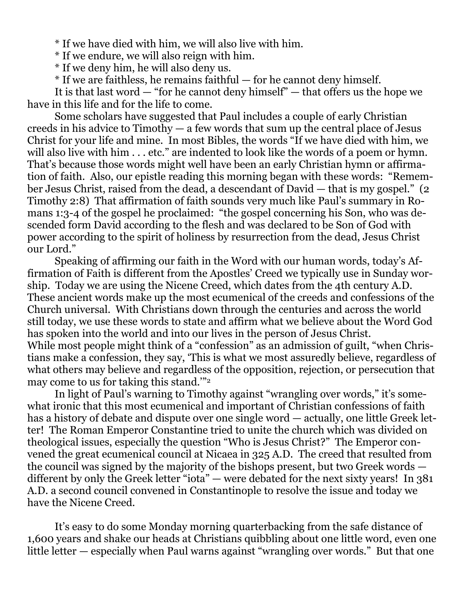\* If we have died with him, we will also live with him.

- \* If we endure, we will also reign with him.
- \* If we deny him, he will also deny us.
- \* If we are faithless, he remains faithful for he cannot deny himself.

It is that last word — "for he cannot deny himself" — that offers us the hope we have in this life and for the life to come.

Some scholars have suggested that Paul includes a couple of early Christian creeds in his advice to Timothy — a few words that sum up the central place of Jesus Christ for your life and mine. In most Bibles, the words "If we have died with him, we will also live with him . . . etc." are indented to look like the words of a poem or hymn. That's because those words might well have been an early Christian hymn or affirmation of faith. Also, our epistle reading this morning began with these words: "Remember Jesus Christ, raised from the dead, a descendant of David — that is my gospel." (2 Timothy 2:8) That affirmation of faith sounds very much like Paul's summary in Romans 1:3-4 of the gospel he proclaimed: "the gospel concerning his Son, who was descended form David according to the flesh and was declared to be Son of God with power according to the spirit of holiness by resurrection from the dead, Jesus Christ our Lord."

Speaking of affirming our faith in the Word with our human words, today's Affirmation of Faith is different from the Apostles' Creed we typically use in Sunday worship. Today we are using the Nicene Creed, which dates from the 4th century A.D. These ancient words make up the most ecumenical of the creeds and confessions of the Church universal. With Christians down through the centuries and across the world still today, we use these words to state and affirm what we believe about the Word God has spoken into the world and into our lives in the person of Jesus Christ. While most people might think of a "confession" as an admission of guilt, "when Christians make a confession, they say, 'This is what we most assuredly believe, regardless of what others may believe and regardless of the opposition, rejection, or persecution that may come to us for taking this stand."<sup>2</sup>

In light of Paul's warning to Timothy against "wrangling over words," it's somewhat ironic that this most ecumenical and important of Christian confessions of faith has a history of debate and dispute over one single word — actually, one little Greek letter! The Roman Emperor Constantine tried to unite the church which was divided on theological issues, especially the question "Who is Jesus Christ?" The Emperor convened the great ecumenical council at Nicaea in 325 A.D. The creed that resulted from the council was signed by the majority of the bishops present, but two Greek words different by only the Greek letter "iota" — were debated for the next sixty years! In 381 A.D. a second council convened in Constantinople to resolve the issue and today we have the Nicene Creed.

It's easy to do some Monday morning quarterbacking from the safe distance of 1,600 years and shake our heads at Christians quibbling about one little word, even one little letter — especially when Paul warns against "wrangling over words." But that one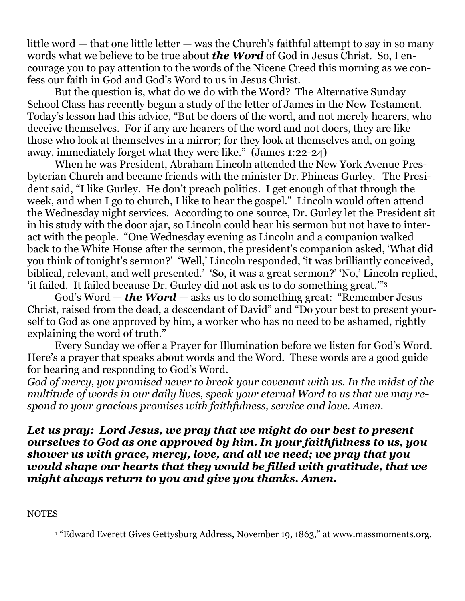little word — that one little letter — was the Church's faithful attempt to say in so many words what we believe to be true about *the Word* of God in Jesus Christ. So, I encourage you to pay attention to the words of the Nicene Creed this morning as we confess our faith in God and God's Word to us in Jesus Christ.

But the question is, what do we do with the Word? The Alternative Sunday School Class has recently begun a study of the letter of James in the New Testament. Today's lesson had this advice, "But be doers of the word, and not merely hearers, who deceive themselves. For if any are hearers of the word and not doers, they are like those who look at themselves in a mirror; for they look at themselves and, on going away, immediately forget what they were like." (James 1:22-24)

When he was President, Abraham Lincoln attended the New York Avenue Presbyterian Church and became friends with the minister Dr. Phineas Gurley. The President said, "I like Gurley. He don't preach politics. I get enough of that through the week, and when I go to church, I like to hear the gospel." Lincoln would often attend the Wednesday night services. According to one source, Dr. Gurley let the President sit in his study with the door ajar, so Lincoln could hear his sermon but not have to interact with the people. "One Wednesday evening as Lincoln and a companion walked back to the White House after the sermon, the president's companion asked, 'What did you think of tonight's sermon?' 'Well,' Lincoln responded, 'it was brilliantly conceived, biblical, relevant, and well presented.' 'So, it was a great sermon?' 'No,' Lincoln replied, 'it failed. It failed because Dr. Gurley did not ask us to do something great.'" 3

God's Word — *the Word* — asks us to do something great: "Remember Jesus Christ, raised from the dead, a descendant of David" and "Do your best to present yourself to God as one approved by him, a worker who has no need to be ashamed, rightly explaining the word of truth."

Every Sunday we offer a Prayer for Illumination before we listen for God's Word. Here's a prayer that speaks about words and the Word. These words are a good guide for hearing and responding to God's Word.

*God of mercy, you promised never to break your covenant with us. In the midst of the multitude of words in our daily lives, speak your eternal Word to us that we may respond to your gracious promises with faithfulness, service and love. Amen.*

*Let us pray: Lord Jesus, we pray that we might do our best to present ourselves to God as one approved by him. In your faithfulness to us, you shower us with grace, mercy, love, and all we need; we pray that you would shape our hearts that they would be filled with gratitude, that we might always return to you and give you thanks. Amen.*

**NOTES** 

<sup>1</sup> "Edward Everett Gives Gettysburg Address, November 19, 1863," at [www.massmoments.org.](http://www.massmoments.org/)